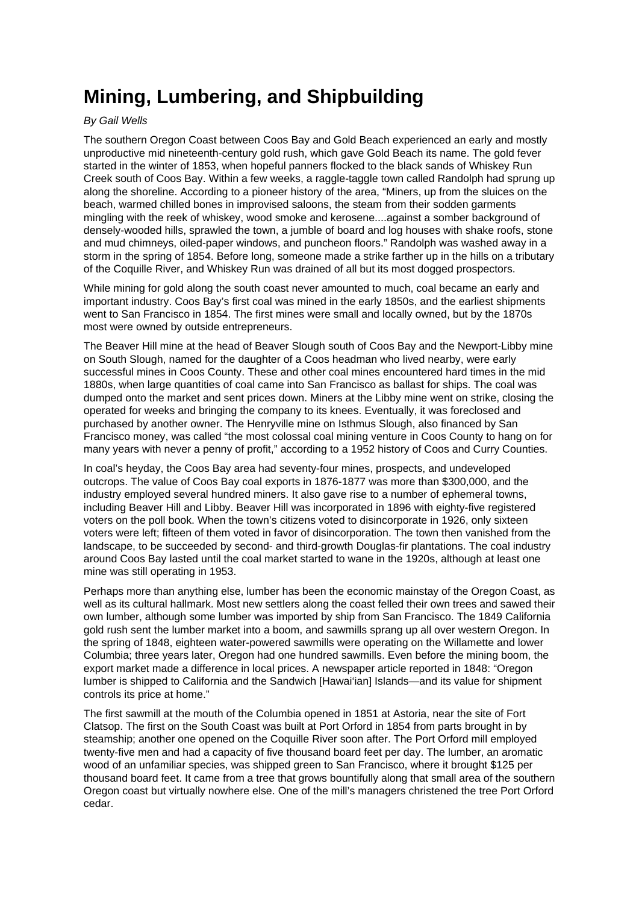## **Mining, Lumbering, and Shipbuilding**

## By Gail Wells

The southern Oregon Coast between Coos Bay and Gold Beach experienced an early and mostly unproductive mid nineteenth-century gold rush, which gave Gold Beach its name. The gold fever started in the winter of 1853, when hopeful panners flocked to the black sands of Whiskey Run Creek south of Coos Bay. Within a few weeks, a raggle-taggle town called Randolph had sprung up along the shoreline. According to a pioneer history of the area, "Miners, up from the sluices on the beach, warmed chilled bones in improvised saloons, the steam from their sodden garments mingling with the reek of whiskey, wood smoke and kerosene....against a somber background of densely-wooded hills, sprawled the town, a jumble of board and log houses with shake roofs, stone and mud chimneys, oiled-paper windows, and puncheon floors." Randolph was washed away in a storm in the spring of 1854. Before long, someone made a strike farther up in the hills on a tributary of the Coquille River, and Whiskey Run was drained of all but its most dogged prospectors.

While mining for gold along the south coast never amounted to much, coal became an early and important industry. Coos Bay's first coal was mined in the early 1850s, and the earliest shipments went to San Francisco in 1854. The first mines were small and locally owned, but by the 1870s most were owned by outside entrepreneurs.

The Beaver Hill mine at the head of Beaver Slough south of Coos Bay and the Newport-Libby mine on South Slough, named for the daughter of a Coos headman who lived nearby, were early successful mines in Coos County. These and other coal mines encountered hard times in the mid 1880s, when large quantities of coal came into San Francisco as ballast for ships. The coal was dumped onto the market and sent prices down. Miners at the Libby mine went on strike, closing the operated for weeks and bringing the company to its knees. Eventually, it was foreclosed and purchased by another owner. The Henryville mine on Isthmus Slough, also financed by San Francisco money, was called "the most colossal coal mining venture in Coos County to hang on for many years with never a penny of profit," according to a 1952 history of Coos and Curry Counties.

In coal's heyday, the Coos Bay area had seventy-four mines, prospects, and undeveloped outcrops. The value of Coos Bay coal exports in 1876-1877 was more than \$300,000, and the industry employed several hundred miners. It also gave rise to a number of ephemeral towns, including Beaver Hill and Libby. Beaver Hill was incorporated in 1896 with eighty-five registered voters on the poll book. When the town's citizens voted to disincorporate in 1926, only sixteen voters were left; fifteen of them voted in favor of disincorporation. The town then vanished from the landscape, to be succeeded by second- and third-growth Douglas-fir plantations. The coal industry around Coos Bay lasted until the coal market started to wane in the 1920s, although at least one mine was still operating in 1953.

Perhaps more than anything else, lumber has been the economic mainstay of the Oregon Coast, as well as its cultural hallmark. Most new settlers along the coast felled their own trees and sawed their own lumber, although some lumber was imported by ship from San Francisco. The 1849 California gold rush sent the lumber market into a boom, and sawmills sprang up all over western Oregon. In the spring of 1848, eighteen water-powered sawmills were operating on the Willamette and lower Columbia; three years later, Oregon had one hundred sawmills. Even before the mining boom, the export market made a difference in local prices. A newspaper article reported in 1848: "Oregon lumber is shipped to California and the Sandwich [Hawai'ian] Islands—and its value for shipment controls its price at home."

The first sawmill at the mouth of the Columbia opened in 1851 at Astoria, near the site of Fort Clatsop. The first on the South Coast was built at Port Orford in 1854 from parts brought in by steamship; another one opened on the Coquille River soon after. The Port Orford mill employed twenty-five men and had a capacity of five thousand board feet per day. The lumber, an aromatic wood of an unfamiliar species, was shipped green to San Francisco, where it brought \$125 per thousand board feet. It came from a tree that grows bountifully along that small area of the southern Oregon coast but virtually nowhere else. One of the mill's managers christened the tree Port Orford cedar.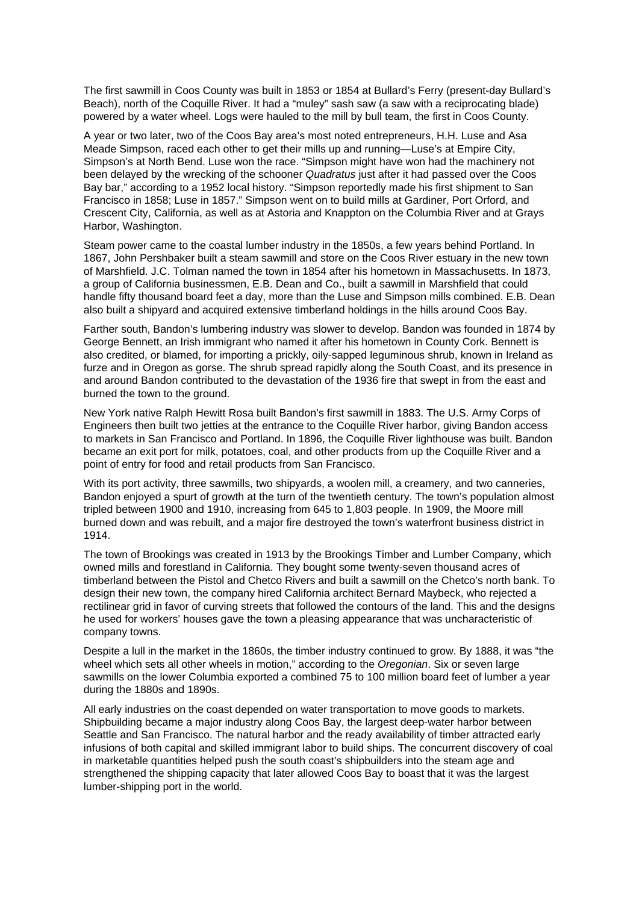The first sawmill in Coos County was built in 1853 or 1854 at Bullard's Ferry (present-day Bullard's Beach), north of the Coquille River. It had a "muley" sash saw (a saw with a reciprocating blade) powered by a water wheel. Logs were hauled to the mill by bull team, the first in Coos County.

A year or two later, two of the Coos Bay area's most noted entrepreneurs, H.H. Luse and Asa Meade Simpson, raced each other to get their mills up and running—Luse's at Empire City, Simpson's at North Bend. Luse won the race. "Simpson might have won had the machinery not been delayed by the wrecking of the schooner Quadratus just after it had passed over the Coos Bay bar," according to a 1952 local history. "Simpson reportedly made his first shipment to San Francisco in 1858; Luse in 1857." Simpson went on to build mills at Gardiner, Port Orford, and Crescent City, California, as well as at Astoria and Knappton on the Columbia River and at Grays Harbor, Washington.

Steam power came to the coastal lumber industry in the 1850s, a few years behind Portland. In 1867, John Pershbaker built a steam sawmill and store on the Coos River estuary in the new town of Marshfield. J.C. Tolman named the town in 1854 after his hometown in Massachusetts. In 1873, a group of California businessmen, E.B. Dean and Co., built a sawmill in Marshfield that could handle fifty thousand board feet a day, more than the Luse and Simpson mills combined. E.B. Dean also built a shipyard and acquired extensive timberland holdings in the hills around Coos Bay.

Farther south, Bandon's lumbering industry was slower to develop. Bandon was founded in 1874 by George Bennett, an Irish immigrant who named it after his hometown in County Cork. Bennett is also credited, or blamed, for importing a prickly, oily-sapped leguminous shrub, known in Ireland as furze and in Oregon as gorse. The shrub spread rapidly along the South Coast, and its presence in and around Bandon contributed to the devastation of the 1936 fire that swept in from the east and burned the town to the ground.

New York native Ralph Hewitt Rosa built Bandon's first sawmill in 1883. The U.S. Army Corps of Engineers then built two jetties at the entrance to the Coquille River harbor, giving Bandon access to markets in San Francisco and Portland. In 1896, the Coquille River lighthouse was built. Bandon became an exit port for milk, potatoes, coal, and other products from up the Coquille River and a point of entry for food and retail products from San Francisco.

With its port activity, three sawmills, two shipyards, a woolen mill, a creamery, and two canneries, Bandon enjoyed a spurt of growth at the turn of the twentieth century. The town's population almost tripled between 1900 and 1910, increasing from 645 to 1,803 people. In 1909, the Moore mill burned down and was rebuilt, and a major fire destroyed the town's waterfront business district in 1914.

The town of Brookings was created in 1913 by the Brookings Timber and Lumber Company, which owned mills and forestland in California. They bought some twenty-seven thousand acres of timberland between the Pistol and Chetco Rivers and built a sawmill on the Chetco's north bank. To design their new town, the company hired California architect Bernard Maybeck, who rejected a rectilinear grid in favor of curving streets that followed the contours of the land. This and the designs he used for workers' houses gave the town a pleasing appearance that was uncharacteristic of company towns.

Despite a lull in the market in the 1860s, the timber industry continued to grow. By 1888, it was "the wheel which sets all other wheels in motion," according to the Oregonian. Six or seven large sawmills on the lower Columbia exported a combined 75 to 100 million board feet of lumber a year during the 1880s and 1890s.

All early industries on the coast depended on water transportation to move goods to markets. Shipbuilding became a major industry along Coos Bay, the largest deep-water harbor between Seattle and San Francisco. The natural harbor and the ready availability of timber attracted early infusions of both capital and skilled immigrant labor to build ships. The concurrent discovery of coal in marketable quantities helped push the south coast's shipbuilders into the steam age and strengthened the shipping capacity that later allowed Coos Bay to boast that it was the largest lumber-shipping port in the world.